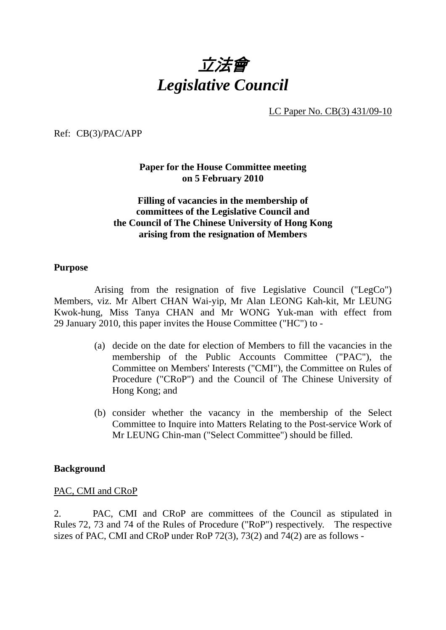

LC Paper No. CB(3) 431/09-10

Ref: CB(3)/PAC/APP

**Paper for the House Committee meeting on 5 February 2010** 

### **Filling of vacancies in the membership of committees of the Legislative Council and the Council of The Chinese University of Hong Kong arising from the resignation of Members**

#### **Purpose**

 Arising from the resignation of five Legislative Council ("LegCo") Members, viz. Mr Albert CHAN Wai-yip, Mr Alan LEONG Kah-kit, Mr LEUNG Kwok-hung, Miss Tanya CHAN and Mr WONG Yuk-man with effect from 29 January 2010, this paper invites the House Committee ("HC") to -

- (a) decide on the date for election of Members to fill the vacancies in the membership of the Public Accounts Committee ("PAC"), the Committee on Members' Interests ("CMI"), the Committee on Rules of Procedure ("CRoP") and the Council of The Chinese University of Hong Kong; and
- (b) consider whether the vacancy in the membership of the Select Committee to Inquire into Matters Relating to the Post-service Work of Mr LEUNG Chin-man ("Select Committee") should be filled.

#### **Background**

#### PAC, CMI and CRoP

2. PAC, CMI and CRoP are committees of the Council as stipulated in Rules 72, 73 and 74 of the Rules of Procedure ("RoP") respectively. The respective sizes of PAC, CMI and CRoP under RoP 72(3), 73(2) and 74(2) are as follows -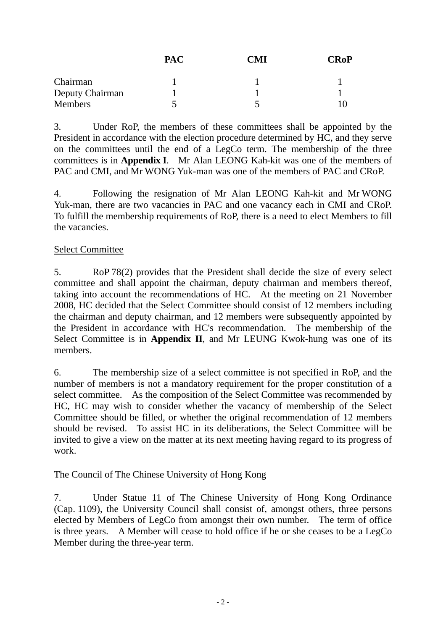|                 | <b>PAC</b> | $\cdot$ 'MI | <b>CRoP</b> |
|-----------------|------------|-------------|-------------|
| Chairman        |            |             |             |
| Deputy Chairman |            |             |             |
| Members         |            |             |             |

3. Under RoP, the members of these committees shall be appointed by the President in accordance with the election procedure determined by HC, and they serve on the committees until the end of a LegCo term. The membership of the three committees is in **Appendix I**. Mr Alan LEONG Kah-kit was one of the members of PAC and CMI, and Mr WONG Yuk-man was one of the members of PAC and CRoP.

4. Following the resignation of Mr Alan LEONG Kah-kit and Mr WONG Yuk-man, there are two vacancies in PAC and one vacancy each in CMI and CRoP. To fulfill the membership requirements of RoP, there is a need to elect Members to fill the vacancies.

### Select Committee

5. RoP 78(2) provides that the President shall decide the size of every select committee and shall appoint the chairman, deputy chairman and members thereof, taking into account the recommendations of HC. At the meeting on 21 November 2008, HC decided that the Select Committee should consist of 12 members including the chairman and deputy chairman, and 12 members were subsequently appointed by the President in accordance with HC's recommendation. The membership of the Select Committee is in **Appendix II**, and Mr LEUNG Kwok-hung was one of its members.

6. The membership size of a select committee is not specified in RoP, and the number of members is not a mandatory requirement for the proper constitution of a select committee. As the composition of the Select Committee was recommended by HC, HC may wish to consider whether the vacancy of membership of the Select Committee should be filled, or whether the original recommendation of 12 members should be revised. To assist HC in its deliberations, the Select Committee will be invited to give a view on the matter at its next meeting having regard to its progress of work.

### The Council of The Chinese University of Hong Kong

7. Under Statue 11 of The Chinese University of Hong Kong Ordinance (Cap. 1109), the University Council shall consist of, amongst others, three persons elected by Members of LegCo from amongst their own number. The term of office is three years. A Member will cease to hold office if he or she ceases to be a LegCo Member during the three-year term.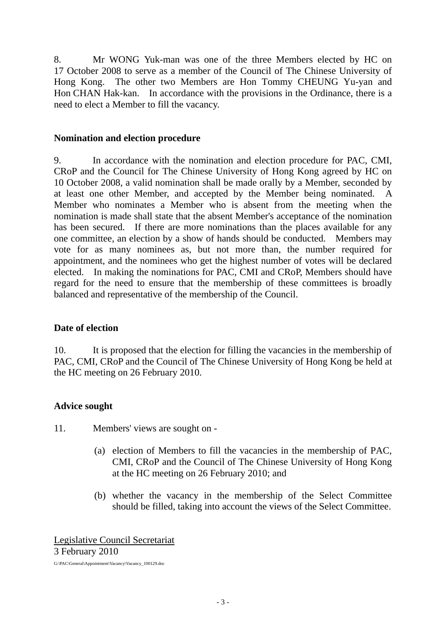8. Mr WONG Yuk-man was one of the three Members elected by HC on 17 October 2008 to serve as a member of the Council of The Chinese University of Hong Kong. The other two Members are Hon Tommy CHEUNG Yu-yan and Hon CHAN Hak-kan. In accordance with the provisions in the Ordinance, there is a need to elect a Member to fill the vacancy.

#### **Nomination and election procedure**

9. In accordance with the nomination and election procedure for PAC, CMI, CRoP and the Council for The Chinese University of Hong Kong agreed by HC on 10 October 2008, a valid nomination shall be made orally by a Member, seconded by at least one other Member, and accepted by the Member being nominated. A Member who nominates a Member who is absent from the meeting when the nomination is made shall state that the absent Member's acceptance of the nomination has been secured. If there are more nominations than the places available for any one committee, an election by a show of hands should be conducted. Members may vote for as many nominees as, but not more than, the number required for appointment, and the nominees who get the highest number of votes will be declared elected. In making the nominations for PAC, CMI and CRoP, Members should have regard for the need to ensure that the membership of these committees is broadly balanced and representative of the membership of the Council.

### **Date of election**

10. It is proposed that the election for filling the vacancies in the membership of PAC, CMI, CRoP and the Council of The Chinese University of Hong Kong be held at the HC meeting on 26 February 2010.

### **Advice sought**

11. Members' views are sought on -

- (a) election of Members to fill the vacancies in the membership of PAC, CMI, CRoP and the Council of The Chinese University of Hong Kong at the HC meeting on 26 February 2010; and
- (b) whether the vacancy in the membership of the Select Committee should be filled, taking into account the views of the Select Committee.

Legislative Council Secretariat 3 February 2010

G:\PAC\General\Appointment\Vacancy\Vacancy\_100129.doc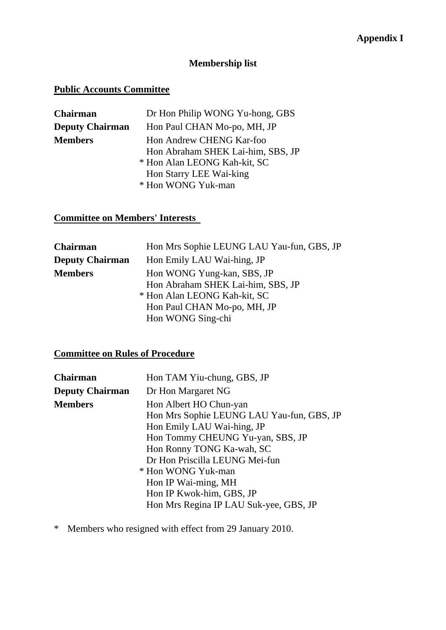## **Membership list**

## **Public Accounts Committee**

| Chairman               | Dr Hon Philip WONG Yu-hong, GBS   |
|------------------------|-----------------------------------|
| <b>Deputy Chairman</b> | Hon Paul CHAN Mo-po, MH, JP       |
| <b>Members</b>         | Hon Andrew CHENG Kar-foo          |
|                        | Hon Abraham SHEK Lai-him, SBS, JP |
|                        | * Hon Alan LEONG Kah-kit, SC      |
|                        | Hon Starry LEE Wai-king           |
|                        | * Hon WONG Yuk-man                |
|                        |                                   |

**Committee on Members' Interests** 

| Chairman               | Hon Mrs Sophie LEUNG LAU Yau-fun, GBS, JP |
|------------------------|-------------------------------------------|
| <b>Deputy Chairman</b> | Hon Emily LAU Wai-hing, JP                |
| <b>Members</b>         | Hon WONG Yung-kan, SBS, JP                |
|                        | Hon Abraham SHEK Lai-him, SBS, JP         |
|                        | * Hon Alan LEONG Kah-kit, SC              |
|                        | Hon Paul CHAN Mo-po, MH, JP               |
|                        | Hon WONG Sing-chi                         |

# **Committee on Rules of Procedure**

| Chairman               | Hon TAM Yiu-chung, GBS, JP                                                                                                                                                                                                                                                                                              |
|------------------------|-------------------------------------------------------------------------------------------------------------------------------------------------------------------------------------------------------------------------------------------------------------------------------------------------------------------------|
| <b>Deputy Chairman</b> | Dr Hon Margaret NG                                                                                                                                                                                                                                                                                                      |
| <b>Members</b>         | Hon Albert HO Chun-yan<br>Hon Mrs Sophie LEUNG LAU Yau-fun, GBS, JP<br>Hon Emily LAU Wai-hing, JP<br>Hon Tommy CHEUNG Yu-yan, SBS, JP<br>Hon Ronny TONG Ka-wah, SC<br>Dr Hon Priscilla LEUNG Mei-fun<br>* Hon WONG Yuk-man<br>Hon IP Wai-ming, MH<br>Hon IP Kwok-him, GBS, JP<br>Hon Mrs Regina IP LAU Suk-yee, GBS, JP |

\* Members who resigned with effect from 29 January 2010.